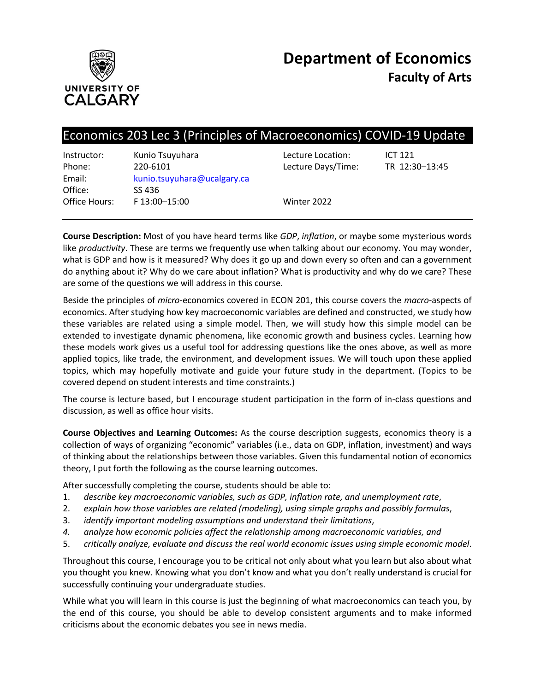

# Economics 203 Lec 3 (Principles of Macroeconomics) COVID-19 Update

| Kunio Tsuyuhara             |  |
|-----------------------------|--|
| 220-6101                    |  |
| kunio.tsuyuhara@ucalgary.ca |  |
| SS 436                      |  |
| F 13:00-15:00               |  |
|                             |  |

Instructure Location: ICT 121 ecture Days/Time: TR 12:30-13:45

Vinter 2022

**Course Description:** Most of you have heard terms like *GDP*, *inflation*, or maybe some mysterious words like *productivity*. These are terms we frequently use when talking about our economy. You may wonder, what is GDP and how is it measured? Why does it go up and down every so often and can a government do anything about it? Why do we care about inflation? What is productivity and why do we care? These are some of the questions we will address in this course.

Beside the principles of *micro*-economics covered in ECON 201, this course covers the *macro*-aspects of economics. After studying how key macroeconomic variables are defined and constructed, we study how these variables are related using a simple model. Then, we will study how this simple model can be extended to investigate dynamic phenomena, like economic growth and business cycles. Learning how these models work gives us a useful tool for addressing questions like the ones above, as well as more applied topics, like trade, the environment, and development issues. We will touch upon these applied topics, which may hopefully motivate and guide your future study in the department. (Topics to be covered depend on student interests and time constraints.)

The course is lecture based, but I encourage student participation in the form of in-class questions and discussion, as well as office hour visits.

**Course Objectives and Learning Outcomes:** As the course description suggests, economics theory is a collection of ways of organizing "economic" variables (i.e., data on GDP, inflation, investment) and ways of thinking about the relationships between those variables. Given this fundamental notion of economics theory, I put forth the following as the course learning outcomes.

After successfully completing the course, students should be able to:

- 1. *describe key macroeconomic variables, such as GDP, inflation rate, and unemployment rate*,
- 2. *explain how those variables are related (modeling), using simple graphs and possibly formulas*,
- 3. *identify important modeling assumptions and understand their limitations*,
- *4. analyze how economic policies affect the relationship among macroeconomic variables, and*
- 5. *critically analyze, evaluate and discuss the real world economic issues using simple economic model*.

Throughout this course, I encourage you to be critical not only about what you learn but also about what you thought you knew. Knowing what you don't know and what you don't really understand is crucial for successfully continuing your undergraduate studies.

While what you will learn in this course is just the beginning of what macroeconomics can teach you, by the end of this course, you should be able to develop consistent arguments and to make informed criticisms about the economic debates you see in news media.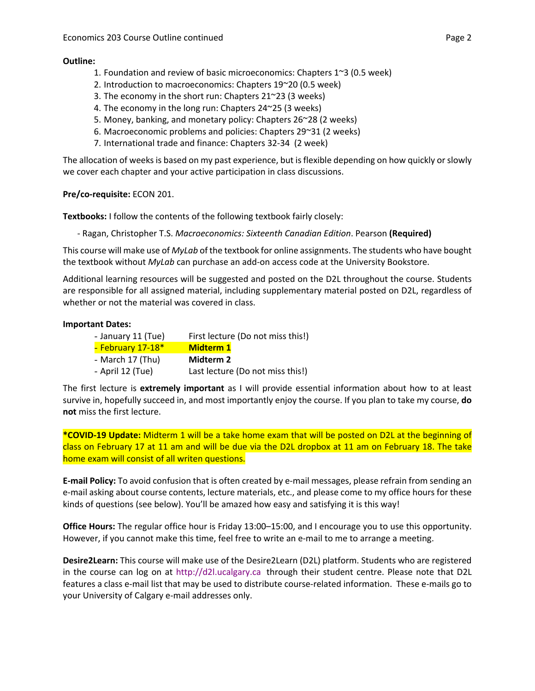# **Outline:**

- 1. Foundation and review of basic microeconomics: Chapters 1~3 (0.5 week)
- 2. Introduction to macroeconomics: Chapters 19~20 (0.5 week)
- 3. The economy in the short run: Chapters 21~23 (3 weeks)
- 4. The economy in the long run: Chapters 24~25 (3 weeks)
- 5. Money, banking, and monetary policy: Chapters 26~28 (2 weeks)
- 6. Macroeconomic problems and policies: Chapters 29~31 (2 weeks)
- 7. International trade and finance: Chapters 32-34 (2 week)

The allocation of weeks is based on my past experience, but is flexible depending on how quickly or slowly we cover each chapter and your active participation in class discussions.

# **Pre/co-requisite:** ECON 201.

**Textbooks:** I follow the contents of the following textbook fairly closely:

- Ragan, Christopher T.S. *Macroeconomics: Sixteenth Canadian Edition*. Pearson **(Required)**

This course will make use of *MyLab* of the textbook for online assignments. The students who have bought the textbook without *MyLab* can purchase an add-on access code at the University Bookstore.

Additional learning resources will be suggested and posted on the D2L throughout the course. Students are responsible for all assigned material, including supplementary material posted on D2L, regardless of whether or not the material was covered in class.

# **Important Dates:**

| - January 11 (Tue) | First lecture (Do not miss this!) |
|--------------------|-----------------------------------|
| - February 17-18*  | <b>Midterm 1</b>                  |
| - March 17 (Thu)   | Midterm 2                         |
| - April 12 (Tue)   | Last lecture (Do not miss this!)  |

The first lecture is **extremely important** as I will provide essential information about how to at least survive in, hopefully succeed in, and most importantly enjoy the course. If you plan to take my course, **do not** miss the first lecture.

**\*COVID-19 Update:** Midterm 1 will be a take home exam that will be posted on D2L at the beginning of class on February 17 at 11 am and will be due via the D2L dropbox at 11 am on February 18. The take home exam will consist of all writen questions.

**E-mail Policy:** To avoid confusion that is often created by e-mail messages, please refrain from sending an e-mail asking about course contents, lecture materials, etc., and please come to my office hours for these kinds of questions (see below). You'll be amazed how easy and satisfying it is this way!

**Office Hours:** The regular office hour is Friday 13:00–15:00, and I encourage you to use this opportunity. However, if you cannot make this time, feel free to write an e-mail to me to arrange a meeting.

**Desire2Learn:** This course will make use of the Desire2Learn (D2L) platform. Students who are registered in the course can log on at http://d2l.ucalgary.ca through their student centre. Please note that D2L features a class e-mail list that may be used to distribute course-related information. These e-mails go to your University of Calgary e-mail addresses only.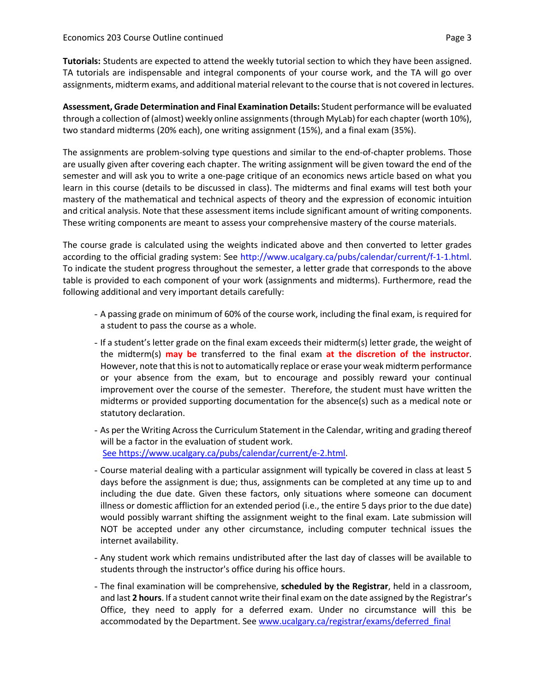**Tutorials:** Students are expected to attend the weekly tutorial section to which they have been assigned. TA tutorials are indispensable and integral components of your course work, and the TA will go over assignments, midterm exams, and additional material relevant to the course that is not covered in lectures.

**Assessment, Grade Determination and Final Examination Details:** Student performance will be evaluated through a collection of (almost) weekly online assignments(through MyLab) for each chapter(worth 10%), two standard midterms (20% each), one writing assignment (15%), and a final exam (35%).

The assignments are problem-solving type questions and similar to the end-of-chapter problems. Those are usually given after covering each chapter. The writing assignment will be given toward the end of the semester and will ask you to write a one-page critique of an economics news article based on what you learn in this course (details to be discussed in class). The midterms and final exams will test both your mastery of the mathematical and technical aspects of theory and the expression of economic intuition and critical analysis. Note that these assessment items include significant amount of writing components. These writing components are meant to assess your comprehensive mastery of the course materials.

The course grade is calculated using the weights indicated above and then converted to letter grades according to the official grading system: See http://www.ucalgary.ca/pubs/calendar/current/f-1-1.html. To indicate the student progress throughout the semester, a letter grade that corresponds to the above table is provided to each component of your work (assignments and midterms). Furthermore, read the following additional and very important details carefully:

- A passing grade on minimum of 60% of the course work, including the final exam, is required for a student to pass the course as a whole.
- If a student's letter grade on the final exam exceeds their midterm(s) letter grade, the weight of the midterm(s) **may be** transferred to the final exam **at the discretion of the instructor**. However, note that this is not to automatically replace or erase your weak midterm performance or your absence from the exam, but to encourage and possibly reward your continual improvement over the course of the semester. Therefore, the student must have written the midterms or provided supporting documentation for the absence(s) such as a medical note or statutory declaration.
- As per the Writing Across the Curriculum Statement in the Calendar, writing and grading thereof will be a factor in the evaluation of student work. See https://www.ucalgary.ca/pubs/calendar/current/e-2.html.
- Course material dealing with a particular assignment will typically be covered in class at least 5 days before the assignment is due; thus, assignments can be completed at any time up to and including the due date. Given these factors, only situations where someone can document illness or domestic affliction for an extended period (i.e., the entire 5 days prior to the due date) would possibly warrant shifting the assignment weight to the final exam. Late submission will NOT be accepted under any other circumstance, including computer technical issues the internet availability.
- Any student work which remains undistributed after the last day of classes will be available to students through the instructor's office during his office hours.
- The final examination will be comprehensive, **scheduled by the Registrar**, held in a classroom, and last **2 hours**. If a student cannot write their final exam on the date assigned by the Registrar's Office, they need to apply for a deferred exam. Under no circumstance will this be accommodated by the Department. See www.ucalgary.ca/registrar/exams/deferred\_final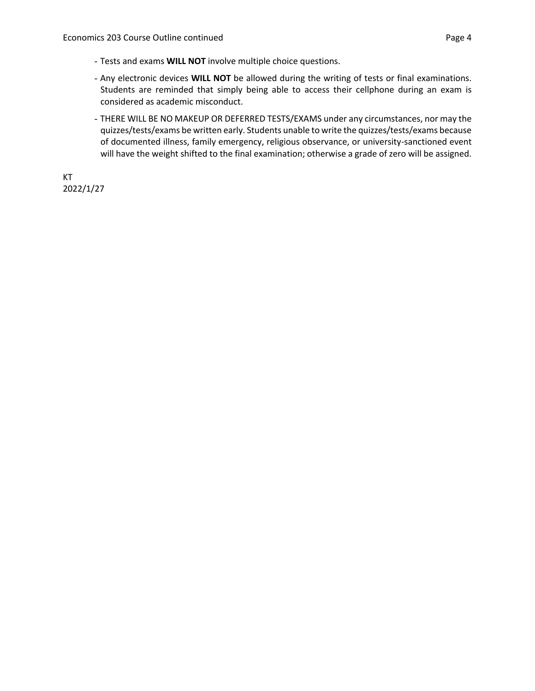- Tests and exams **WILL NOT** involve multiple choice questions.
- Any electronic devices **WILL NOT** be allowed during the writing of tests or final examinations. Students are reminded that simply being able to access their cellphone during an exam is considered as academic misconduct.
- THERE WILL BE NO MAKEUP OR DEFERRED TESTS/EXAMS under any circumstances, nor may the quizzes/tests/exams be written early. Students unable to write the quizzes/tests/exams because of documented illness, family emergency, religious observance, or university-sanctioned event will have the weight shifted to the final examination; otherwise a grade of zero will be assigned.

KT 2022/1/27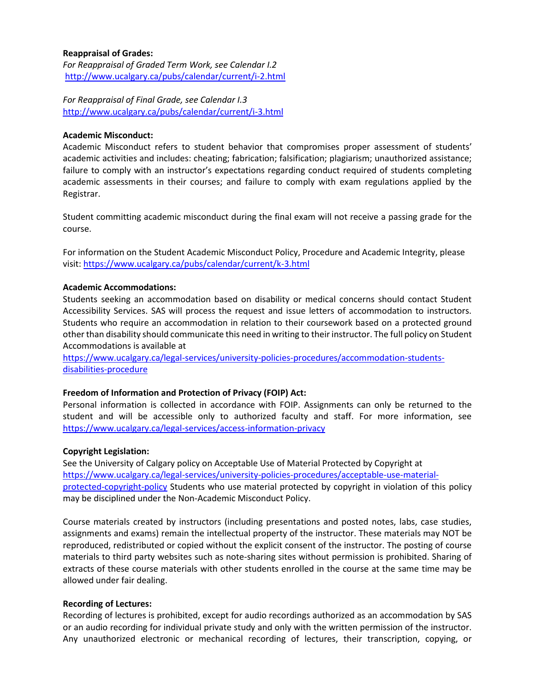## **Reappraisal of Grades:**

*For Reappraisal of Graded Term Work, see Calendar I.2* <http://www.ucalgary.ca/pubs/calendar/current/i-2.html>

*For Reappraisal of Final Grade, see Calendar I.3* <http://www.ucalgary.ca/pubs/calendar/current/i-3.html>

#### **Academic Misconduct:**

Academic Misconduct refers to student behavior that compromises proper assessment of students' academic activities and includes: cheating; fabrication; falsification; plagiarism; unauthorized assistance; failure to comply with an instructor's expectations regarding conduct required of students completing academic assessments in their courses; and failure to comply with exam regulations applied by the Registrar.

Student committing academic misconduct during the final exam will not receive a passing grade for the course.

For information on the Student Academic Misconduct Policy, Procedure and Academic Integrity, please visit[: https://www.ucalgary.ca/pubs/calendar/current/k-3.html](https://www.ucalgary.ca/pubs/calendar/current/k-3.html)

#### **Academic Accommodations:**

Students seeking an accommodation based on disability or medical concerns should contact Student Accessibility Services. SAS will process the request and issue letters of accommodation to instructors. Students who require an accommodation in relation to their coursework based on a protected ground other than disability should communicate this need in writing to their instructor. The full policy on Student Accommodations is available at

[https://www.ucalgary.ca/legal-services/university-policies-procedures/accommodation-students](https://www.ucalgary.ca/legal-services/university-policies-procedures/accommodation-students-disabilities-procedure)[disabilities-procedure](https://www.ucalgary.ca/legal-services/university-policies-procedures/accommodation-students-disabilities-procedure)

#### **Freedom of Information and Protection of Privacy (FOIP) Act:**

Personal information is collected in accordance with FOIP. Assignments can only be returned to the student and will be accessible only to authorized faculty and staff. For more information, see <https://www.ucalgary.ca/legal-services/access-information-privacy>

#### **Copyright Legislation:**

See the University of Calgary policy on Acceptable Use of Material Protected by Copyright at [https://www.ucalgary.ca/legal-services/university-policies-procedures/acceptable-use-material](https://www.ucalgary.ca/legal-services/university-policies-procedures/acceptable-use-material-protected-copyright-policy)[protected-copyright-policy](https://www.ucalgary.ca/legal-services/university-policies-procedures/acceptable-use-material-protected-copyright-policy) Students who use material protected by copyright in violation of this policy may be disciplined under the Non-Academic Misconduct Policy.

Course materials created by instructors (including presentations and posted notes, labs, case studies, assignments and exams) remain the intellectual property of the instructor. These materials may NOT be reproduced, redistributed or copied without the explicit consent of the instructor. The posting of course materials to third party websites such as note-sharing sites without permission is prohibited. Sharing of extracts of these course materials with other students enrolled in the course at the same time may be allowed under fair dealing.

#### **Recording of Lectures:**

Recording of lectures is prohibited, except for audio recordings authorized as an accommodation by SAS or an audio recording for individual private study and only with the written permission of the instructor. Any unauthorized electronic or mechanical recording of lectures, their transcription, copying, or